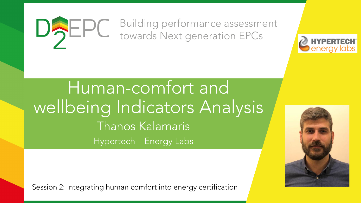### Building performance assessment DAEPC towards Next generation EPCs



Human-comfort and wellbeing Indicators Analysis Thanos Kalamaris Hypertech – Energy Labs

Session 2: Integrating human comfort into energy certification

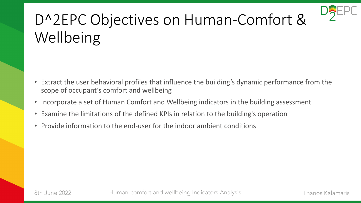

# D^2EPC Objectives on Human-Comfort & Wellbeing

- Extract the user behavioral profiles that influence the building's dynamic performance from the scope of occupant's comfort and wellbeing
- Incorporate a set of Human Comfort and Wellbeing indicators in the building assessment
- Examine the limitations of the defined KPIs in relation to the building's operation
- Provide information to the end-user for the indoor ambient conditions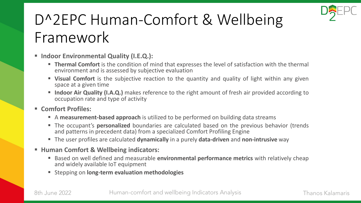

# D^2EPC Human-Comfort & Wellbeing Framework

#### ▪ **Indoor Environmental Quality (I.E.Q.):**

- **Thermal Comfort** is the condition of mind that expresses the level of satisfaction with the thermal environment and is assessed by subjective evaluation
- **E** Visual Comfort is the subjective reaction to the quantity and quality of light within any given space at a given time
- Indoor Air Quality (I.A.Q.) makes reference to the right amount of fresh air provided according to occupation rate and type of activity

#### ▪ **Comfort Profiles:**

- A **measurement-based approach** is utilized to be performed on building data streams
- **The occupant's personalized** boundaries are calculated based on the previous behavior (trends and patterns in precedent data) from a specialized Comfort Profiling Engine
- The user profiles are calculated **dynamically** in a purely **data-driven** and **non-intrusive** way

#### ▪ **Human Comfort & Wellbeing indicators:**

- Based on well defined and measurable **environmental performance metrics** with relatively cheap and widely available IoT equipment
- Stepping on **long-term evaluation methodologies**

8th June 2022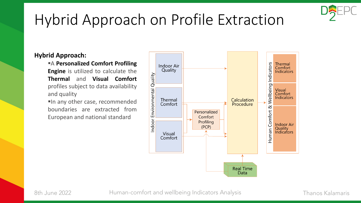

## Hybrid Approach on Profile Extraction

#### **Hybrid Approach:**

▪A **Personalized Comfort Profiling Engine** is utilized to calculate the **Thermal** and **Visual Comfort** profiles subject to data availability and quality In any other case, recommended boundaries are extracted from European and national standard

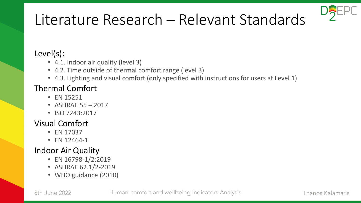

## Literature Research – Relevant Standards

#### Level(s):

- 4.1. Indoor air quality (level 3)
- 4.2. Time outside of thermal comfort range (level 3)
- 4.3. Lighting and visual comfort (only specified with instructions for users at Level 1)

### Thermal Comfort

- EN 15251
- ASHRAE 55 2017
- ISO 7243:2017

### Visual Comfort

- EN 17037
- EN 12464-1

### Indoor Air Quality

- EN 16798-1/2:2019
- ASHRAE 62.1/2-2019
- WHO guidance (2010)

8th June 2022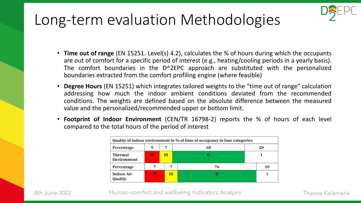### Long-term evaluation Methodologies



- **Degree Hours** (EN 15251) which integrates tailored weights to the "time out of range" calculation addressing how much the indoor ambient conditions deviated from the recommended conditions. The weights are defined based on the absolute difference between the measured value and the personalized/recommended upper or bottom limit.
- **Footprint of Indoor Environment** (CEN/TR 16798-2) reports the % of hours of each level compared to the total hours of the period of interest

| Quality of indoor environment in % of time of occupancy in four categories |    |   |    |    |
|----------------------------------------------------------------------------|----|---|----|----|
| Percentage                                                                 | 5  | 7 | 68 | 20 |
| Thermal<br>Environment                                                     | IV | Ш |    |    |
| Percentage                                                                 |    |   | 76 | 10 |
| <b>Indoor Air</b><br>Quality                                               | IV | Ш | н  |    |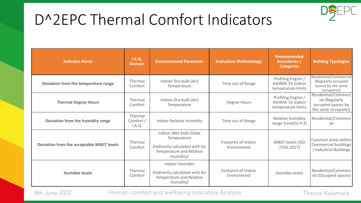

## D^2EPC Thermal Comfort Indicators

| <b>Indicator Name</b>                     | I.E.Q.<br><b>Domain</b>        | <b>Environmental Parameter</b>                                                                                   | <b>Evaluation Methodology</b>      | <b>Recommended</b><br><b>Boundaries /</b><br><b>Categories</b>      | <b>Building Typologies</b>                                                         |
|-------------------------------------------|--------------------------------|------------------------------------------------------------------------------------------------------------------|------------------------------------|---------------------------------------------------------------------|------------------------------------------------------------------------------------|
| Deviation from the temperature range      | Thermal<br>Comfort             | Indoor Dry-bulb (Air)<br>Temperature                                                                             | Time out of Range                  | Profiling Engine /<br><b>ASHRAE 55 Indoor</b><br>temperature limits | Residential/Commercial<br>(Regularly occupied<br>spaces by the same<br>occupants)  |
| <b>Thermal Degree Hours</b>               | Thermal<br>Comfort             | Indoor Dry-bulb (Air)<br>Temperature                                                                             | Degree Hours                       | Profiling Engine /<br><b>ASHRAE 55 Indoor</b><br>temperature limits | Residential/Commerc<br>ial (Regularly<br>occupied spaces by<br>the same occupants) |
| Deviation from the humidity range         | Thermal<br>Comfort /<br>I.A.Q. | <b>Indoor Relative Humidity</b>                                                                                  | Time out of Range                  | Relative humidity<br>range (Level(s) $4.3$ )                        | Residential/Commerc<br>ial                                                         |
| Deviation from the acceptable WBGT levels | Thermal<br>Comfort             | Indoor Wet-bulb Globe<br>Temperature<br>(Indirectly calculated with Air<br>Temperature and Relative<br>Humidity) | Footprint of Indoor<br>Environment | <b>WBGT levels (ISO</b><br>7243:2017)                               | Common areas within<br>Commercial buildings<br>/ Industrial Buildings              |
| <b>Humidex levels</b>                     | Thermal<br>Comfort             | <b>Indoor Humidex</b><br>(Indirectly calculated with Air<br>Temperature and Relative<br>Humidity)                | Footprint of Indoor<br>Environment | Humidex levels                                                      | Residential/Commerc<br>ial (Occupied spaces)                                       |

8th June 2022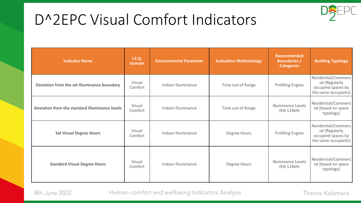## D^2EPC Visual Comfort Indicators

| <b>Indicator Name</b>                          | I.E.Q.<br><b>Domain</b> | <b>Environmental Parameter</b> | <b>Evaluation Methodology</b> | <b>Recommended</b><br><b>Boundaries /</b><br><b>Categories</b> | <b>Building Typology</b>                                                           |
|------------------------------------------------|-------------------------|--------------------------------|-------------------------------|----------------------------------------------------------------|------------------------------------------------------------------------------------|
| Deviation from the set Illuminance boundary    | Visual<br>Comfort       | Indoor Illuminance             | Time out of Range             | <b>Profiling Engine</b>                                        | Residential/Commerc<br>ial (Regularly<br>occupied spaces by<br>the same occupants) |
| Deviation from the standard Illuminance levels | Visual<br>Comfort       | Indoor Illuminance             | Time out of Range             | <b>Illuminance Levels</b><br>(EN 12464)                        | Residential/Commerc<br>ial (based on space<br>typology)                            |
| <b>Set Visual Degree Hours</b>                 | Visual<br>Comfort       | Indoor Illuminance             | Degree Hours                  | <b>Profiling Engine</b>                                        | Residential/Commerc<br>ial (Regularly<br>occupied spaces by<br>the same occupants) |
| <b>Standard Visual Degree Hours</b>            | Visual<br>Comfort       | Indoor Illuminance             | Degree Hours                  | <b>Illuminance Levels</b><br>(EN 12464)                        | Residential/Commerc<br>ial (based on space<br>typology)                            |

8th June 2022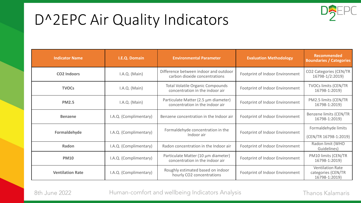## D^2EPC Air Quality Indicators



| <b>Indicator Name</b>   | I.E.Q. Domain          | <b>Environmental Parameter</b>                                             | <b>Evaluation Methodology</b>   | <b>Recommended</b><br><b>Boundaries / Categories</b>           |
|-------------------------|------------------------|----------------------------------------------------------------------------|---------------------------------|----------------------------------------------------------------|
| <b>CO2 Indoors</b>      | I.A.Q. (Main)          | Difference between indoor and outdoor<br>carbon dioxide concentrations     | Footprint of Indoor Environment | CO2 Categories (CEN/TR<br>16798-1/2:2019)                      |
| <b>TVOCs</b>            | I.A.Q. (Main)          | <b>Total Volatile Organic Compounds</b><br>concentration in the indoor air | Footprint of Indoor Environment | <b>TVOCs limits (CEN/TR</b><br>16798-1:2019)                   |
| <b>PM2.5</b>            | I.A.Q. (Main)          | Particulate Matter (2.5 µm diameter)<br>concentration in the indoor air    | Footprint of Indoor Environment | PM2.5 limits (CEN/TR<br>16798-1:2019)                          |
| <b>Benzene</b>          | I.A.Q. (Complimentary) | Benzene concentration in the Indoor air                                    | Footprint of Indoor Environment | Benzene limits (CEN/TR<br>16798-1:2019)                        |
| Formaldehyde            | I.A.Q. (Complimentary) | Formaldehyde concentration in the<br>Indoor air                            | Footprint of Indoor Environment | Formaldehyde limits<br>(CEN/TR 16798-1:2019)                   |
| Radon                   | I.A.Q. (Complimentary) | Radon concentration in the Indoor air                                      | Footprint of Indoor Environment | Radon limit (WHO<br>Guidelines)                                |
| <b>PM10</b>             | I.A.Q. (Complimentary) | Particulate Matter (10 µm diameter)<br>concentration in the indoor air     | Footprint of Indoor Environment | PM10 limits (CEN/TR<br>16798-1:2019)                           |
| <b>Ventilation Rate</b> | I.A.Q. (Complimentary) | Roughly estimated based on indoor<br>hourly CO2 concentrations             | Footprint of Indoor Environment | <b>Ventilation Rate</b><br>categories (CEN/TR<br>16798-1:2019) |

8th June 2022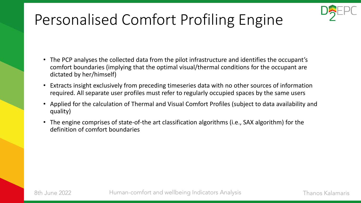

# Personalised Comfort Profiling Engine

- The PCP analyses the collected data from the pilot infrastructure and identifies the occupant's comfort boundaries (implying that the optimal visual/thermal conditions for the occupant are dictated by her/himself)
- Extracts insight exclusively from preceding timeseries data with no other sources of information required. All separate user profiles must refer to regularly occupied spaces by the same users
- Applied for the calculation of Thermal and Visual Comfort Profiles (subject to data availability and quality)
- The engine comprises of state-of-the art classification algorithms (i.e., SAX algorithm) for the definition of comfort boundaries